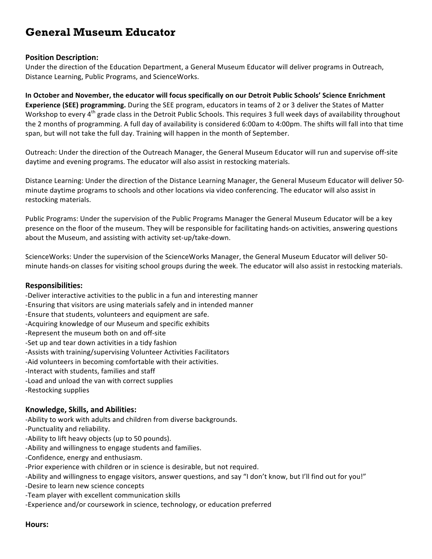# **General Museum Educator**

### **Position Description:**

Under the direction of the Education Department, a General Museum Educator will deliver programs in Outreach, Distance Learning, Public Programs, and ScienceWorks.

In October and November, the educator will focus specifically on our Detroit Public Schools' Science Enrichment **Experience (SEE) programming.** During the SEE program, educators in teams of 2 or 3 deliver the States of Matter Workshop to every 4<sup>th</sup> grade class in the Detroit Public Schools. This requires 3 full week days of availability throughout the 2 months of programming. A full day of availability is considered 6:00am to 4:00pm. The shifts will fall into that time span, but will not take the full day. Training will happen in the month of September.

Outreach: Under the direction of the Outreach Manager, the General Museum Educator will run and supervise off-site daytime and evening programs. The educator will also assist in restocking materials.

Distance Learning: Under the direction of the Distance Learning Manager, the General Museum Educator will deliver 50minute daytime programs to schools and other locations via video conferencing. The educator will also assist in restocking materials.

Public Programs: Under the supervision of the Public Programs Manager the General Museum Educator will be a key presence on the floor of the museum. They will be responsible for facilitating hands-on activities, answering questions about the Museum, and assisting with activity set-up/take-down.

ScienceWorks: Under the supervision of the ScienceWorks Manager, the General Museum Educator will deliver 50minute hands-on classes for visiting school groups during the week. The educator will also assist in restocking materials.

#### **Responsibilities:**

- -Deliver interactive activities to the public in a fun and interesting manner
- -Ensuring that visitors are using materials safely and in intended manner
- -Ensure that students, volunteers and equipment are safe.
- -Acquiring knowledge of our Museum and specific exhibits
- -Represent the museum both on and off-site
- -Set up and tear down activities in a tidy fashion
- -Assists with training/supervising Volunteer Activities Facilitators
- -Aid volunteers in becoming comfortable with their activities.
- -Interact with students, families and staff
- -Load and unload the van with correct supplies
- -Restocking supplies

## **Knowledge, Skills, and Abilities:**

-Ability to work with adults and children from diverse backgrounds.

- -Punctuality and reliability.
- -Ability to lift heavy objects (up to 50 pounds).
- -Ability and willingness to engage students and families.
- -Confidence, energy and enthusiasm.
- -Prior experience with children or in science is desirable, but not required.
- -Ability and willingness to engage visitors, answer questions, and say "I don't know, but I'll find out for you!"
- -Desire to learn new science concepts
- -Team player with excellent communication skills
- -Experience and/or coursework in science, technology, or education preferred